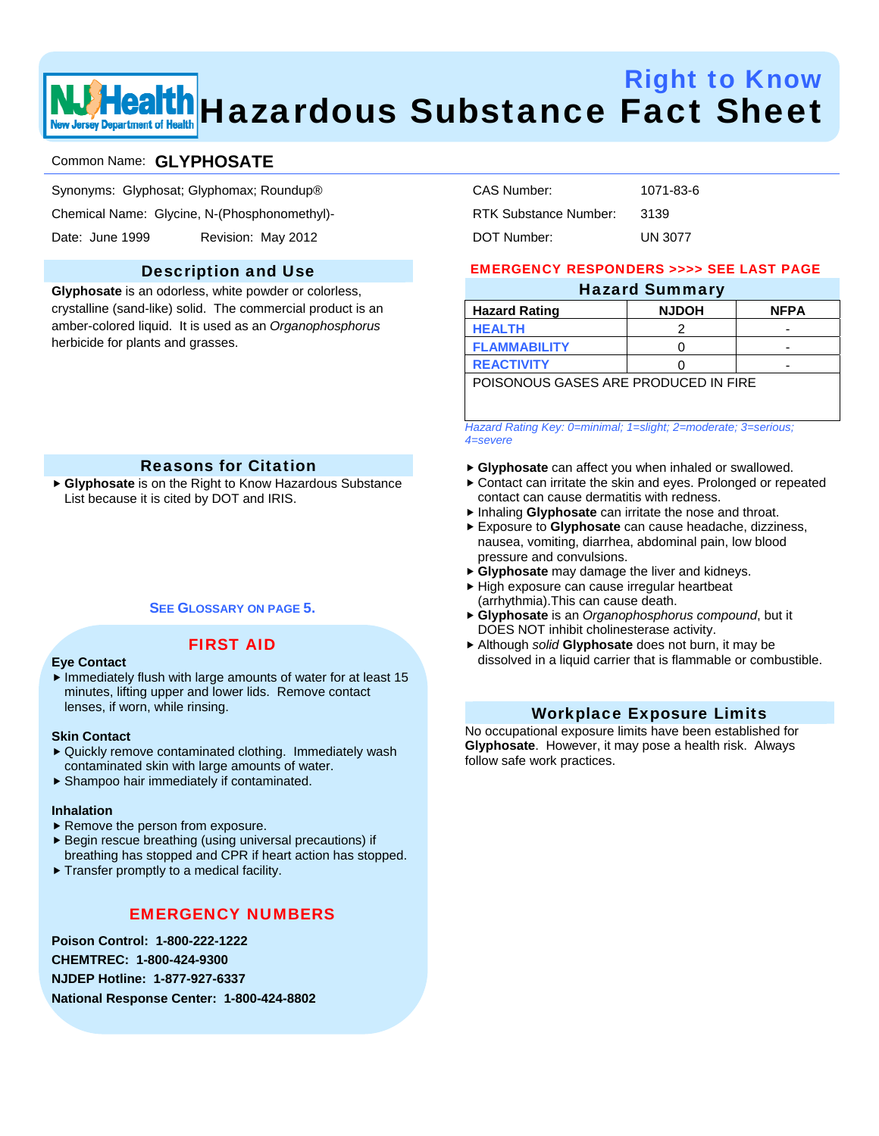# Right to Know Health Hazardous Substance Fact Sheet New Jersey Department of Health

## Common Name: **GLYPHOSATE**

Synonyms: Glyphosat; Glyphomax; Roundup® Chemical Name: Glycine, N-(Phosphonomethyl)- Date: June 1999 Revision: May 2012

## Description and Use

**Glyphosate** is an odorless, white powder or colorless, crystalline (sand-like) solid. The commercial product is an amber-colored liquid. It is used as an *Organophosphorus* herbicide for plants and grasses.

## Reasons for Citation

► Glyphosate is on the Right to Know Hazardous Substance List because it is cited by DOT and IRIS.

## **SEE GLOSSARY ON PAGE 5.**

FIRST AID

#### **Eye Contact**

 $\blacktriangleright$  Immediately flush with large amounts of water for at least 15 minutes, lifting upper and lower lids. Remove contact lenses, if worn, while rinsing.

#### **Skin Contact**

- ▶ Quickly remove contaminated clothing. Immediately wash contaminated skin with large amounts of water.
- $\blacktriangleright$  Shampoo hair immediately if contaminated.

#### **Inhalation**

- $\blacktriangleright$  Remove the person from exposure.
- $\blacktriangleright$  Begin rescue breathing (using universal precautions) if
- breathing has stopped and CPR if heart action has stopped.
- $\blacktriangleright$  Transfer promptly to a medical facility.

## EMERGENCY NUMBERS

**Poison Control: 1-800-222-1222 CHEMTREC: 1-800-424-9300 NJDEP Hotline: 1-877-927-6337 National Response Center: 1-800-424-8802** 

| CAS Number:           | 1071-83-6 |
|-----------------------|-----------|
| RTK Substance Number: | 3139      |
| DOT Number:           | UN 3077   |

## EMERGENCY RESPONDERS >>>> SEE LAST PAGE

| <b>Hazard Summary</b>                |              |             |
|--------------------------------------|--------------|-------------|
| <b>Hazard Rating</b>                 | <b>NJDOH</b> | <b>NFPA</b> |
| <b>HEALTH</b>                        |              |             |
| <b>FLAMMABILITY</b>                  |              | -           |
| <b>REACTIVITY</b>                    |              | -           |
| POISONOUS GASES ARE PRODUCED IN FIRE |              |             |

*Hazard Rating Key: 0=minimal; 1=slight; 2=moderate; 3=serious; 4=severe* 

- **Figure Glyphosate** can affect you when inhaled or swallowed.
- $\triangleright$  Contact can irritate the skin and eyes. Prolonged or repeated contact can cause dermatitis with redness.
- **F** Inhaling Glyphosate can irritate the nose and throat.
- Exposure to **Glyphosate** can cause headache, dizziness, nausea, vomiting, diarrhea, abdominal pain, low blood pressure and convulsions.
- **Glyphosate** may damage the liver and kidneys.
- $\blacktriangleright$  High exposure can cause irregular heartbeat (arrhythmia).This can cause death.
- f **Glyphosate** is an *Organophosphorus compound*, but it DOES NOT inhibit cholinesterase activity.
- ▶ Although *solid* Glyphosate does not burn, it may be dissolved in a liquid carrier that is flammable or combustible.

## Workplace Exposure Limits

No occupational exposure limits have been established for **Glyphosate**. However, it may pose a health risk. Always follow safe work practices.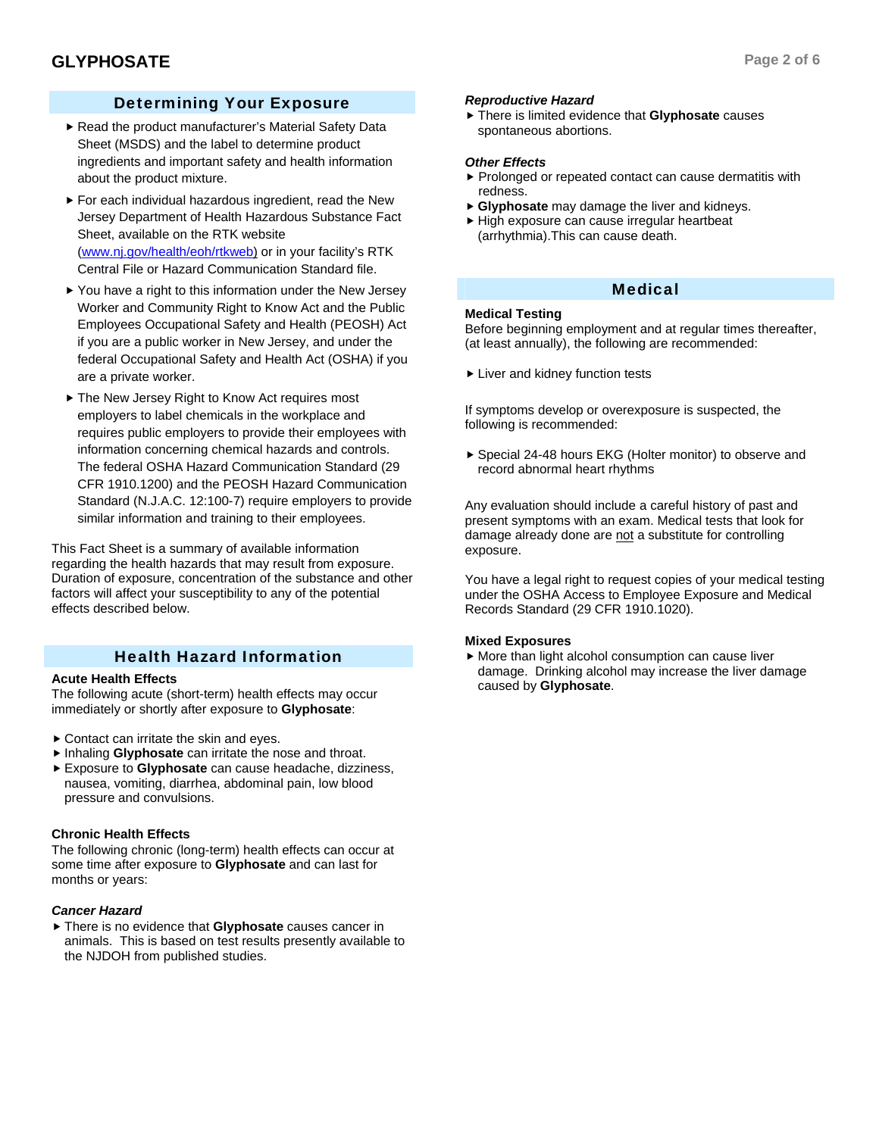## Determining Your Exposure

- Read the product manufacturer's Material Safety Data Sheet (MSDS) and the label to determine product ingredients and important safety and health information about the product mixture.
- $\blacktriangleright$  For each individual hazardous ingredient, read the New Jersey Department of Health Hazardous Substance Fact Sheet, available on the RTK website (www.nj.gov/health/eoh/rtkweb) or in your facility's RTK Central File or Hazard Communication Standard file.
- $\blacktriangleright$  You have a right to this information under the New Jersey Worker and Community Right to Know Act and the Public Employees Occupational Safety and Health (PEOSH) Act if you are a public worker in New Jersey, and under the federal Occupational Safety and Health Act (OSHA) if you are a private worker.
- ▶ The New Jersey Right to Know Act requires most employers to label chemicals in the workplace and requires public employers to provide their employees with information concerning chemical hazards and controls. The federal OSHA Hazard Communication Standard (29 CFR 1910.1200) and the PEOSH Hazard Communication Standard (N.J.A.C. 12:100-7) require employers to provide similar information and training to their employees.

This Fact Sheet is a summary of available information regarding the health hazards that may result from exposure. Duration of exposure, concentration of the substance and other factors will affect your susceptibility to any of the potential effects described below.

## Health Hazard Information

#### **Acute Health Effects**

The following acute (short-term) health effects may occur immediately or shortly after exposure to **Glyphosate**:

- $\triangleright$  Contact can irritate the skin and eves.
- **F** Inhaling **Glyphosate** can irritate the nose and throat.
- ► Exposure to Glyphosate can cause headache, dizziness, nausea, vomiting, diarrhea, abdominal pain, low blood pressure and convulsions.

#### **Chronic Health Effects**

The following chronic (long-term) health effects can occur at some time after exposure to **Glyphosate** and can last for months or years:

#### *Cancer Hazard*

 $\triangleright$  There is no evidence that Glyphosate causes cancer in animals. This is based on test results presently available to the NJDOH from published studies.

#### *Reproductive Hazard*

 $\triangleright$  There is limited evidence that **Glyphosate** causes spontaneous abortions.

#### *Other Effects*

- $\blacktriangleright$  Prolonged or repeated contact can cause dermatitis with redness.
- **F** Glyphosate may damage the liver and kidneys.
- High exposure can cause irregular heartbeat (arrhythmia).This can cause death.

## Medical

#### **Medical Testing**

Before beginning employment and at regular times thereafter, (at least annually), the following are recommended:

 $\blacktriangleright$  Liver and kidney function tests

If symptoms develop or overexposure is suspected, the following is recommended:

▶ Special 24-48 hours EKG (Holter monitor) to observe and record abnormal heart rhythms

Any evaluation should include a careful history of past and present symptoms with an exam. Medical tests that look for damage already done are not a substitute for controlling exposure.

You have a legal right to request copies of your medical testing under the OSHA Access to Employee Exposure and Medical Records Standard (29 CFR 1910.1020).

#### **Mixed Exposures**

 $\blacktriangleright$  More than light alcohol consumption can cause liver damage. Drinking alcohol may increase the liver damage caused by **Glyphosate**.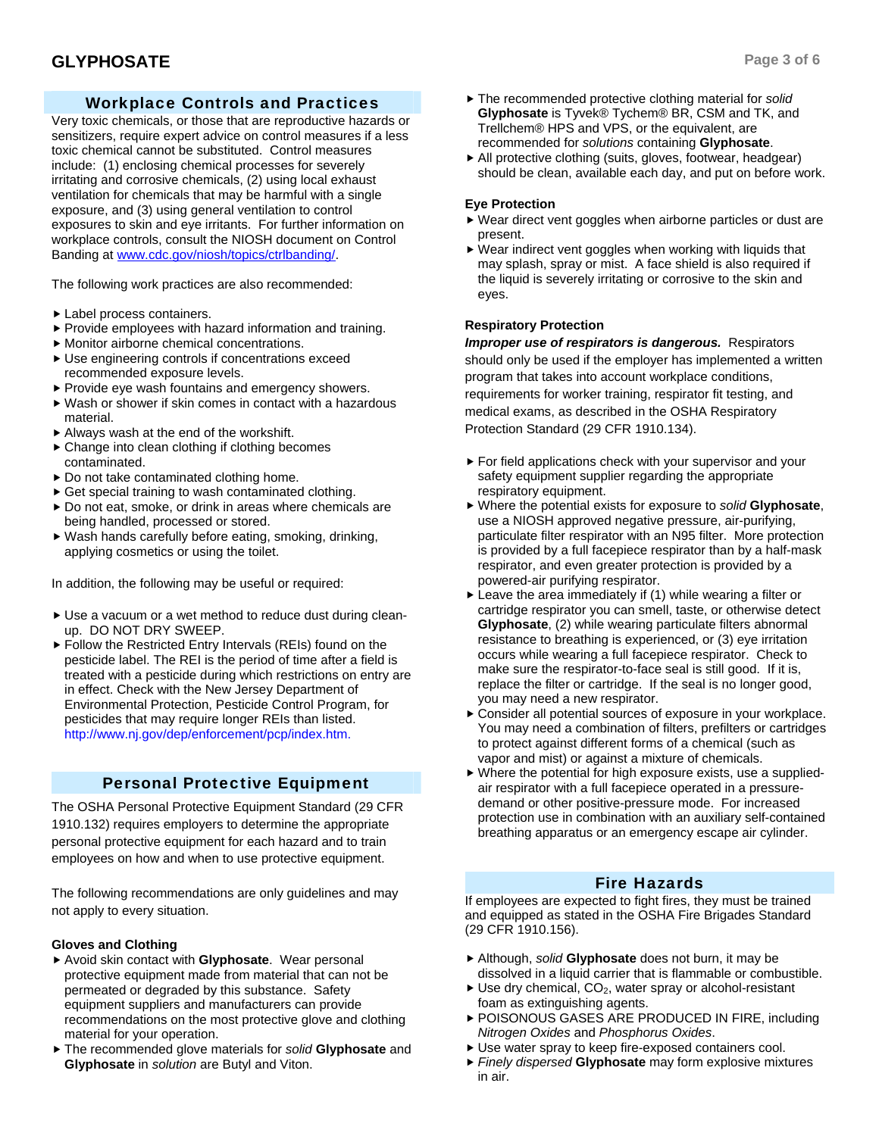## Workplace Controls and Practices

Very toxic chemicals, or those that are reproductive hazards or sensitizers, require expert advice on control measures if a less toxic chemical cannot be substituted. Control measures include: (1) enclosing chemical processes for severely irritating and corrosive chemicals, (2) using local exhaust ventilation for chemicals that may be harmful with a single exposure, and (3) using general ventilation to control exposures to skin and eye irritants. For further information on workplace controls, consult the NIOSH document on Control Banding at www.cdc.gov/niosh/topics/ctrlbanding/.

The following work practices are also recommended:

- $\blacktriangleright$  Label process containers.
- $\blacktriangleright$  Provide employees with hazard information and training.
- $\blacktriangleright$  Monitor airborne chemical concentrations.
- $\blacktriangleright$  Use engineering controls if concentrations exceed recommended exposure levels.
- $\blacktriangleright$  Provide eye wash fountains and emergency showers.
- $\blacktriangleright$  Wash or shower if skin comes in contact with a hazardous material.
- $\blacktriangleright$  Always wash at the end of the workshift.
- $\triangleright$  Change into clean clothing if clothing becomes contaminated.
- $\triangleright$  Do not take contaminated clothing home.
- $\triangleright$  Get special training to wash contaminated clothing.
- $\triangleright$  Do not eat, smoke, or drink in areas where chemicals are being handled, processed or stored.
- $\blacktriangleright$  Wash hands carefully before eating, smoking, drinking, applying cosmetics or using the toilet.

In addition, the following may be useful or required:

- Use a vacuum or a wet method to reduce dust during cleanup. DO NOT DRY SWEEP.
- $\blacktriangleright$  Follow the Restricted Entry Intervals (REIs) found on the pesticide label. The REI is the period of time after a field is treated with a pesticide during which restrictions on entry are in effect. Check with the New Jersey Department of Environmental Protection, Pesticide Control Program, for pesticides that may require longer REIs than listed. http://www.nj.gov/dep/enforcement/pcp/index.htm.

## Personal Protective Equipment

The OSHA Personal Protective Equipment Standard (29 CFR 1910.132) requires employers to determine the appropriate personal protective equipment for each hazard and to train employees on how and when to use protective equipment.

The following recommendations are only guidelines and may not apply to every situation.

## **Gloves and Clothing**

- ▶ Avoid skin contact with **Glyphosate**. Wear personal protective equipment made from material that can not be permeated or degraded by this substance. Safety equipment suppliers and manufacturers can provide recommendations on the most protective glove and clothing material for your operation.
- $\triangleright$  The recommended glove materials for *solid* Glyphosate and **Glyphosate** in *solution* are Butyl and Viton.
- ▶ The recommended protective clothing material for *solid* **Glyphosate** is Tyvek® Tychem® BR, CSM and TK, and Trellchem® HPS and VPS, or the equivalent, are recommended for *solutions* containing **Glyphosate**.
- $\blacktriangleright$  All protective clothing (suits, gloves, footwear, headgear) should be clean, available each day, and put on before work.

#### **Eye Protection**

- $\blacktriangleright$  Wear direct vent goggles when airborne particles or dust are present.
- $\blacktriangleright$  Wear indirect vent goggles when working with liquids that may splash, spray or mist. A face shield is also required if the liquid is severely irritating or corrosive to the skin and eyes.

#### **Respiratory Protection**

*Improper use of respirators is dangerous.* Respirators should only be used if the employer has implemented a written program that takes into account workplace conditions, requirements for worker training, respirator fit testing, and medical exams, as described in the OSHA Respiratory Protection Standard (29 CFR 1910.134).

- $\triangleright$  For field applications check with your supervisor and your safety equipment supplier regarding the appropriate respiratory equipment.
- f Where the potential exists for exposure to *solid* **Glyphosate**, use a NIOSH approved negative pressure, air-purifying, particulate filter respirator with an N95 filter. More protection is provided by a full facepiece respirator than by a half-mask respirator, and even greater protection is provided by a powered-air purifying respirator.
- $\blacktriangleright$  Leave the area immediately if (1) while wearing a filter or cartridge respirator you can smell, taste, or otherwise detect **Glyphosate**, (2) while wearing particulate filters abnormal resistance to breathing is experienced, or (3) eye irritation occurs while wearing a full facepiece respirator. Check to make sure the respirator-to-face seal is still good. If it is, replace the filter or cartridge. If the seal is no longer good, you may need a new respirator.
- $\triangleright$  Consider all potential sources of exposure in your workplace. You may need a combination of filters, prefilters or cartridges to protect against different forms of a chemical (such as vapor and mist) or against a mixture of chemicals.
- $\blacktriangleright$  Where the potential for high exposure exists, use a suppliedair respirator with a full facepiece operated in a pressuredemand or other positive-pressure mode. For increased protection use in combination with an auxiliary self-contained breathing apparatus or an emergency escape air cylinder.

## Fire Hazards

If employees are expected to fight fires, they must be trained and equipped as stated in the OSHA Fire Brigades Standard (29 CFR 1910.156).

- ▶ Although, *solid* Glyphosate does not burn, it may be dissolved in a liquid carrier that is flammable or combustible.
- $\triangleright$  Use dry chemical, CO<sub>2</sub>, water spray or alcohol-resistant foam as extinguishing agents.
- **POISONOUS GASES ARE PRODUCED IN FIRE, including** *Nitrogen Oxides* and *Phosphorus Oxides*.
- $\blacktriangleright$  Use water spray to keep fire-exposed containers cool.
- **Finely dispersed Glyphosate** may form explosive mixtures in air.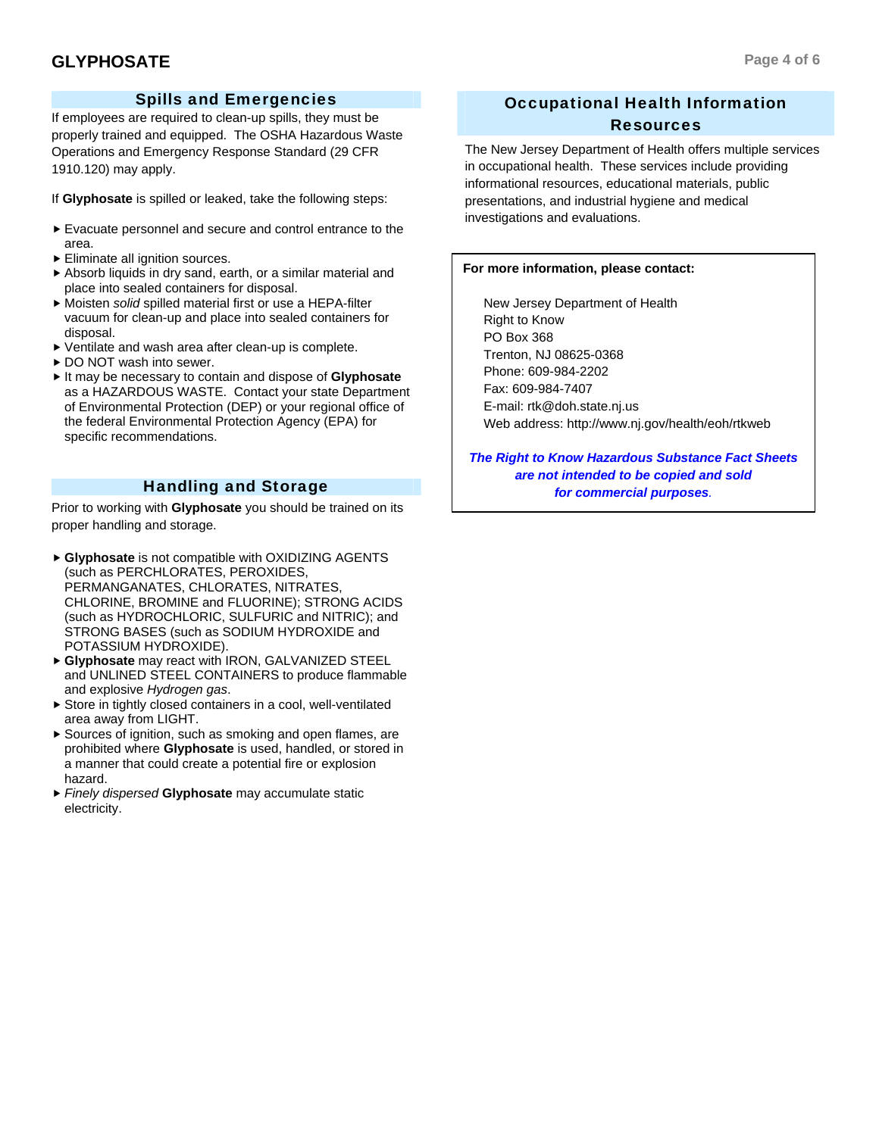## Spills and Emergencies

If employees are required to clean-up spills, they must be properly trained and equipped. The OSHA Hazardous Waste Operations and Emergency Response Standard (29 CFR 1910.120) may apply.

If **Glyphosate** is spilled or leaked, take the following steps:

- $\blacktriangleright$  Evacuate personnel and secure and control entrance to the area.
- $\blacktriangleright$  Eliminate all ignition sources.
- $\blacktriangleright$  Absorb liquids in dry sand, earth, or a similar material and place into sealed containers for disposal.
- ▶ Moisten *solid* spilled material first or use a HEPA-filter vacuum for clean-up and place into sealed containers for disposal.
- $\blacktriangleright$  Ventilate and wash area after clean-up is complete.
- ▶ DO NOT wash into sewer.
- $\blacktriangleright$  It may be necessary to contain and dispose of Glyphosate as a HAZARDOUS WASTE. Contact your state Department of Environmental Protection (DEP) or your regional office of the federal Environmental Protection Agency (EPA) for specific recommendations.

## Handling and Storage

Prior to working with **Glyphosate** you should be trained on its proper handling and storage.

- ▶ Glyphosate is not compatible with OXIDIZING AGENTS (such as PERCHLORATES, PEROXIDES, PERMANGANATES, CHLORATES, NITRATES, CHLORINE, BROMINE and FLUORINE); STRONG ACIDS (such as HYDROCHLORIC, SULFURIC and NITRIC); and STRONG BASES (such as SODIUM HYDROXIDE and POTASSIUM HYDROXIDE).
- **Glyphosate** may react with IRON, GALVANIZED STEEL and UNLINED STEEL CONTAINERS to produce flammable and explosive *Hydrogen gas*.
- $\triangleright$  Store in tightly closed containers in a cool, well-ventilated area away from LIGHT.
- $\blacktriangleright$  Sources of ignition, such as smoking and open flames, are prohibited where **Glyphosate** is used, handled, or stored in a manner that could create a potential fire or explosion hazard.
- **Finely dispersed Glyphosate** may accumulate static electricity.

# Occupational Health Information Resources

The New Jersey Department of Health offers multiple services in occupational health. These services include providing informational resources, educational materials, public presentations, and industrial hygiene and medical investigations and evaluations.

#### **For more information, please contact:**

 New Jersey Department of Health Right to Know PO Box 368 Trenton, NJ 08625-0368 Phone: 609-984-2202 Fax: 609-984-7407 E-mail: rtk@doh.state.nj.us Web address: http://www.nj.gov/health/eoh/rtkweb

*The Right to Know Hazardous Substance Fact Sheets are not intended to be copied and sold for commercial purposes.*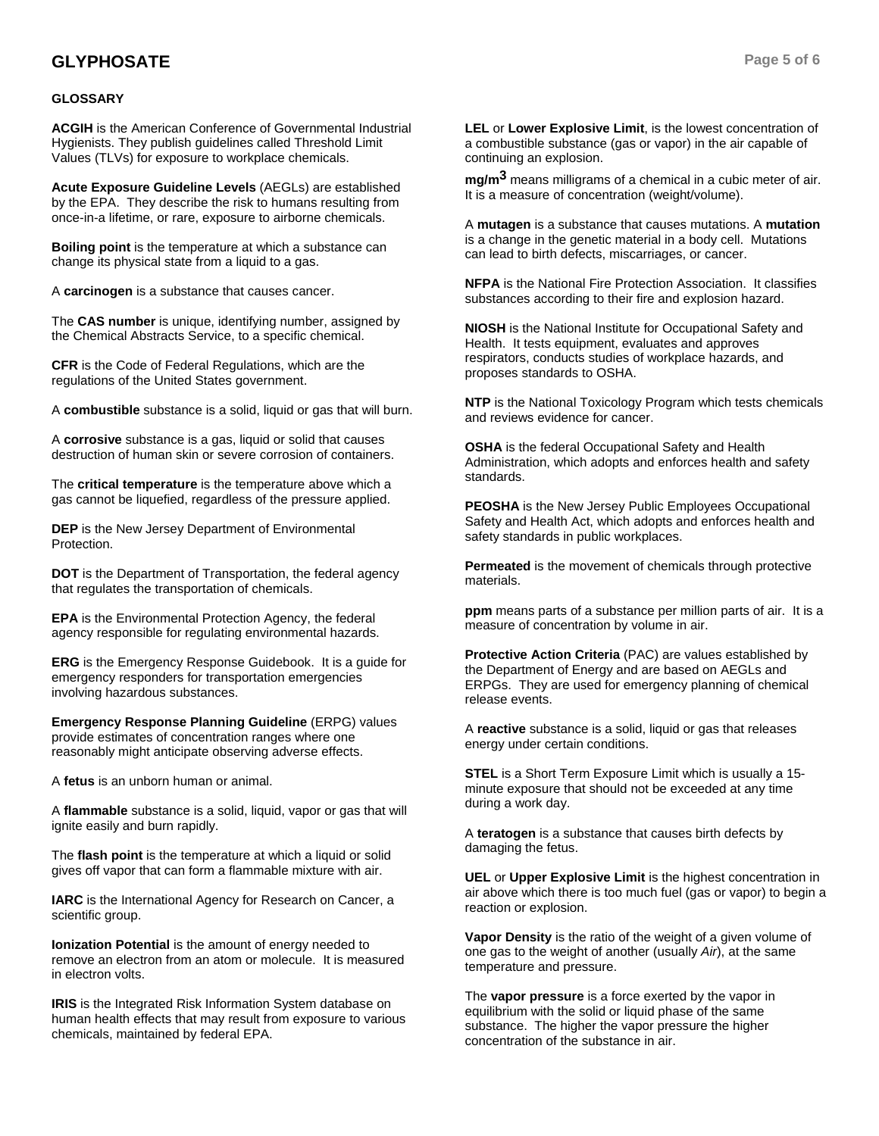## **GLYPHOSATE** Page 5 of 6

#### **GLOSSARY**

**ACGIH** is the American Conference of Governmental Industrial Hygienists. They publish guidelines called Threshold Limit Values (TLVs) for exposure to workplace chemicals.

**Acute Exposure Guideline Levels** (AEGLs) are established by the EPA. They describe the risk to humans resulting from once-in-a lifetime, or rare, exposure to airborne chemicals.

**Boiling point** is the temperature at which a substance can change its physical state from a liquid to a gas.

A **carcinogen** is a substance that causes cancer.

The **CAS number** is unique, identifying number, assigned by the Chemical Abstracts Service, to a specific chemical.

**CFR** is the Code of Federal Regulations, which are the regulations of the United States government.

A **combustible** substance is a solid, liquid or gas that will burn.

A **corrosive** substance is a gas, liquid or solid that causes destruction of human skin or severe corrosion of containers.

The **critical temperature** is the temperature above which a gas cannot be liquefied, regardless of the pressure applied.

**DEP** is the New Jersey Department of Environmental Protection.

**DOT** is the Department of Transportation, the federal agency that regulates the transportation of chemicals.

**EPA** is the Environmental Protection Agency, the federal agency responsible for regulating environmental hazards.

**ERG** is the Emergency Response Guidebook. It is a guide for emergency responders for transportation emergencies involving hazardous substances.

**Emergency Response Planning Guideline** (ERPG) values provide estimates of concentration ranges where one reasonably might anticipate observing adverse effects.

A **fetus** is an unborn human or animal.

A **flammable** substance is a solid, liquid, vapor or gas that will ignite easily and burn rapidly.

The **flash point** is the temperature at which a liquid or solid gives off vapor that can form a flammable mixture with air.

**IARC** is the International Agency for Research on Cancer, a scientific group.

**Ionization Potential** is the amount of energy needed to remove an electron from an atom or molecule. It is measured in electron volts.

**IRIS** is the Integrated Risk Information System database on human health effects that may result from exposure to various chemicals, maintained by federal EPA.

**LEL** or **Lower Explosive Limit**, is the lowest concentration of a combustible substance (gas or vapor) in the air capable of continuing an explosion.

**mg/m3** means milligrams of a chemical in a cubic meter of air. It is a measure of concentration (weight/volume).

A **mutagen** is a substance that causes mutations. A **mutation** is a change in the genetic material in a body cell. Mutations can lead to birth defects, miscarriages, or cancer.

**NFPA** is the National Fire Protection Association. It classifies substances according to their fire and explosion hazard.

**NIOSH** is the National Institute for Occupational Safety and Health. It tests equipment, evaluates and approves respirators, conducts studies of workplace hazards, and proposes standards to OSHA.

**NTP** is the National Toxicology Program which tests chemicals and reviews evidence for cancer.

**OSHA** is the federal Occupational Safety and Health Administration, which adopts and enforces health and safety standards.

**PEOSHA** is the New Jersey Public Employees Occupational Safety and Health Act, which adopts and enforces health and safety standards in public workplaces.

**Permeated** is the movement of chemicals through protective materials.

**ppm** means parts of a substance per million parts of air. It is a measure of concentration by volume in air.

**Protective Action Criteria** (PAC) are values established by the Department of Energy and are based on AEGLs and ERPGs. They are used for emergency planning of chemical release events.

A **reactive** substance is a solid, liquid or gas that releases energy under certain conditions.

**STEL** is a Short Term Exposure Limit which is usually a 15 minute exposure that should not be exceeded at any time during a work day.

A **teratogen** is a substance that causes birth defects by damaging the fetus.

**UEL** or **Upper Explosive Limit** is the highest concentration in air above which there is too much fuel (gas or vapor) to begin a reaction or explosion.

**Vapor Density** is the ratio of the weight of a given volume of one gas to the weight of another (usually *Air*), at the same temperature and pressure.

The **vapor pressure** is a force exerted by the vapor in equilibrium with the solid or liquid phase of the same substance. The higher the vapor pressure the higher concentration of the substance in air.